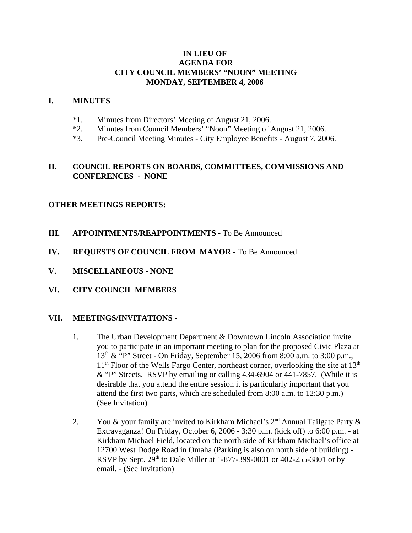# **IN LIEU OF AGENDA FOR CITY COUNCIL MEMBERS' "NOON" MEETING MONDAY, SEPTEMBER 4, 2006**

#### **I. MINUTES**

- \*1. Minutes from Directors' Meeting of August 21, 2006.
- \*2. Minutes from Council Members' "Noon" Meeting of August 21, 2006.
- \*3. Pre-Council Meeting Minutes City Employee Benefits August 7, 2006.

### **II. COUNCIL REPORTS ON BOARDS, COMMITTEES, COMMISSIONS AND CONFERENCES - NONE**

### **OTHER MEETINGS REPORTS:**

- **III.** APPOINTMENTS/REAPPOINTMENTS To Be Announced
- **IV. REQUESTS OF COUNCIL FROM MAYOR -** To Be Announced
- **V. MISCELLANEOUS NONE**
- **VI. CITY COUNCIL MEMBERS**

#### **VII. MEETINGS/INVITATIONS** -

- 1. The Urban Development Department & Downtown Lincoln Association invite you to participate in an important meeting to plan for the proposed Civic Plaza at  $13<sup>th</sup>$  & "P" Street - On Friday, September 15, 2006 from 8:00 a.m. to 3:00 p.m.,  $11<sup>th</sup>$  Floor of the Wells Fargo Center, northeast corner, overlooking the site at  $13<sup>th</sup>$ & "P" Streets. RSVP by emailing or calling 434-6904 or 441-7857. (While it is desirable that you attend the entire session it is particularly important that you attend the first two parts, which are scheduled from 8:00 a.m. to 12:30 p.m.) (See Invitation)
- 2. You & your family are invited to Kirkham Michael's  $2<sup>nd</sup>$  Annual Tailgate Party & Extravaganza! On Friday, October 6, 2006 - 3:30 p.m. (kick off) to 6:00 p.m. - at Kirkham Michael Field, located on the north side of Kirkham Michael's office at 12700 West Dodge Road in Omaha (Parking is also on north side of building) - RSVP by Sept.  $29^{th}$  to Dale Miller at 1-877-399-0001 or 402-255-3801 or by email. - (See Invitation)